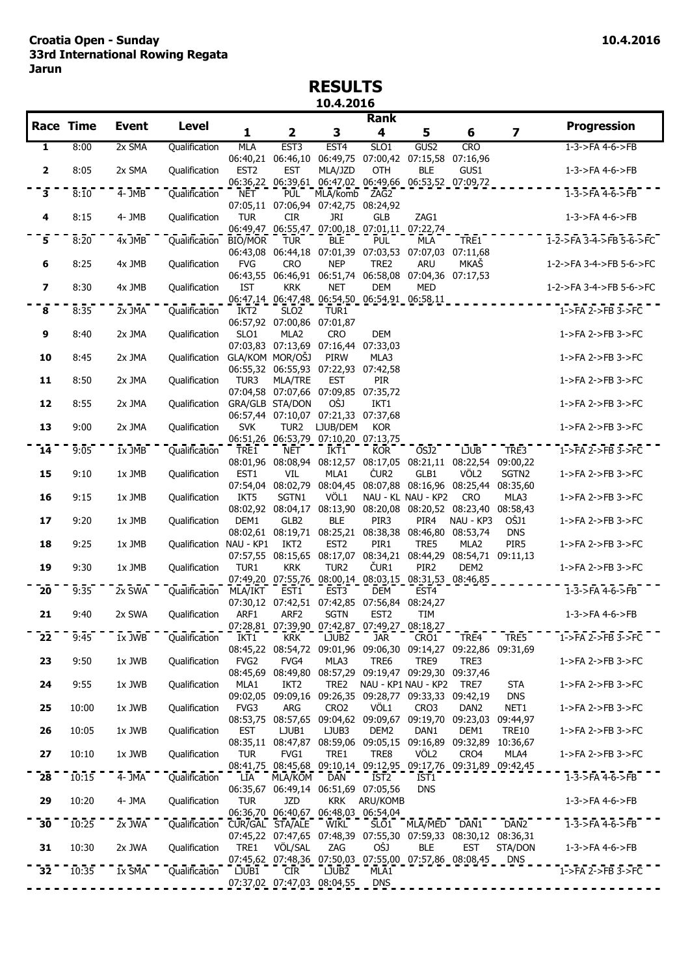## **RESULTS 10.4.2016**

|                         |                  |                       |                                    |                                                      |                                    |                                                                                                                                             | Rank              |                               |                  |                         |                                         |
|-------------------------|------------------|-----------------------|------------------------------------|------------------------------------------------------|------------------------------------|---------------------------------------------------------------------------------------------------------------------------------------------|-------------------|-------------------------------|------------------|-------------------------|-----------------------------------------|
|                         | <b>Race Time</b> | <b>Event</b>          | <b>Level</b>                       | 1                                                    | $\overline{\mathbf{2}}$            | 3                                                                                                                                           | 4                 | 5                             | 6                | $\overline{\mathbf{z}}$ | <b>Progression</b>                      |
| 1                       | 8:00             | 2x SMA                | Qualification                      | <b>MLA</b>                                           | EST <sub>3</sub>                   | EST <sub>4</sub>                                                                                                                            | SLO1              | GUS2                          | <b>CRO</b>       |                         | $1 - 3 - 5FA + 6 - 5FB$                 |
| $\mathbf{2}$            | 8:05             | 2x SMA                | Qualification                      | EST <sub>2</sub>                                     | <b>EST</b>                         | 06:40,21 06:46,10 06:49,75 07:00,42 07:15,58 07:16,96<br>MLA/JZD<br>06:36,22 06:39,61 06:47,02 06:49,66 06:53,52 07:09,72                   | <b>OTH</b>        | <b>BLE</b>                    | GUS1             |                         | 1-3->FA 4-6->FB                         |
| ີ3ັ                     | 8:10             | $4 - JMB$             | Qualification                      | <b>NET</b>                                           | <b>PUL</b>                         | MLA/komb<br>07:05,11 07:06,94 07:42,75 08:24,92                                                                                             | $\overline{ZAG2}$ |                               |                  |                         | $1-3$ ->FA $4-6$ ->FB                   |
| 4                       | 8:15             | 4- JMB                | Qualification                      | <b>TUR</b>                                           | <b>CIR</b>                         | JRI<br>06:49,47 06:55,47 07:00,18 07:01,11 07:22,74                                                                                         | <b>GLB</b>        | ZAG1                          |                  |                         | 1-3->FA 4-6->FB                         |
| 5                       | 8:20             | $4x$ JMB              | Qualification BIO/MOR              |                                                      | <b>TUR</b>                         | <b>BLE</b><br>06:43,08 06:44,18 07:01,39 07:03,53 07:07,03 07:11,68                                                                         | PUL <sup>-</sup>  | <b>MLA</b>                    | TRE1             |                         | $1 - 2 - 5FA$ 3-4- $>$ $FB$ 5-6- $>$ FC |
| 6                       | 8:25             | 4x JMB                | Qualification                      | <b>FVG</b>                                           | <b>CRO</b>                         | <b>NEP</b><br>06:43,55 06:46,91 06:51,74 06:58,08 07:04,36 07:17,53                                                                         | TRE2              | <b>ARU</b>                    | MKAŠ             |                         | 1-2->FA 3-4->FB 5-6->FC                 |
| $\overline{\mathbf{z}}$ | 8:30             | 4x JMB                | Qualification                      | IST                                                  | <b>KRK</b>                         | <b>NET</b><br>06:47,14 06:47,48 06:54,50 06:54,91 06:58,11                                                                                  | <b>DEM</b>        | MED                           |                  | ----------              | 1-2->FA 3-4->FB 5-6->FC                 |
| 8                       | 8:35             | $2x$ JMA              | Qualification                      | IKT <sub>2</sub>                                     | SLO <sub>2</sub>                   | TUR1                                                                                                                                        |                   |                               |                  |                         | $1$ ->FA 2->FB 3->FC                    |
| 9                       | 8:40             | 2x JMA                | Qualification                      | SLO1                                                 | 06:57,92 07:00,86 07:01,87<br>MLA2 | <b>CRO</b><br>07:03,83 07:13,69 07:16,44 07:33,03                                                                                           | <b>DEM</b>        |                               |                  |                         | 1->FA 2->FB 3->FC                       |
| 10                      | 8:45             | 2x JMA                | Qualification GLA/KOM MOR/OŠJ      |                                                      |                                    | PIRW<br>06:55,32 06:55,93 07:22,93 07:42,58                                                                                                 | MLA3              |                               |                  |                         | 1->FA 2->FB 3->FC                       |
| 11                      | 8:50             | 2x JMA                | Qualification                      | TUR3                                                 | <b>MLA/TRE</b>                     | <b>EST</b><br>07:04,58 07:07,66 07:09,85 07:35,72                                                                                           | <b>PIR</b>        |                               |                  |                         | 1->FA 2->FB 3->FC                       |
| 12                      | 8:55             | 2x JMA                | Qualification GRA/GLB STA/DON      |                                                      |                                    | OŠJ<br>06:57,44 07:10,07 07:21,33 07:37,68                                                                                                  | IKT1              |                               |                  |                         | 1->FA 2->FB 3->FC                       |
| 13                      | 9:00             | 2x JMA                | Qualification                      | <b>SVK</b>                                           |                                    | TUR2 LJUB/DEM<br>06:51,26 06:53,79 07:10,20 07:13,75                                                                                        | <b>KOR</b>        |                               |                  |                         | 1->FA 2->FB 3->FC                       |
| $\overline{14}$         | 9:05             | $1x$ JMB              | Qualification                      | TRE1                                                 | <b>NET</b>                         | IKT1<br>08:01,96 08:08,94 08:12,57 08:17,05 08:21,11 08:22,54 09:00,22                                                                      | <b>KOR</b>        | OŠJ2                          | <b>LJUB</b>      | TRE3                    | $1$ ->FA 2->FB 3->FC                    |
| 15                      | 9:10             | 1x JMB                | Qualification                      | EST1                                                 | VIL                                | MLA1<br>07:54,04 08:02,79 08:04,45 08:07,88 08:16,96 08:25,44 08:35,60                                                                      | ČUR <sub>2</sub>  | GLB1                          | VÖL2             | SGTN2                   | 1->FA 2->FB 3->FC                       |
| 16                      | 9:15             | 1x JMB                | Qualification                      | IKT5                                                 | SGTN1                              | VÖL1<br>08:02,92 08:04,17 08:13,90 08:20,08 08:20,52 08:23,40 08:58,43                                                                      |                   | NAU - KL NAU - KP2            | <b>CRO</b>       | MLA3                    | 1->FA 2->FB 3->FC                       |
| 17                      | 9:20             | 1x JMB                | Qualification                      | DEM1                                                 | GLB2                               | <b>BLE</b><br>08:02,61 08:19,71 08:25,21 08:38,38 08:46,80 08:53,74                                                                         | PIR3              | PIR4                          | NAU - KP3        | OŠJ1<br><b>DNS</b>      | 1->FA 2->FB 3->FC                       |
| 18                      | 9:25             | 1x JMB                | Qualification NAU - KP1            |                                                      | IKT2                               | EST <sub>2</sub><br>07:57,55 08:15,65 08:17,07 08:34,21 08:44,29 08:54,71 09:11,13                                                          | PIR1              | TRE5                          | MLA2             | PIR5                    | 1->FA 2->FB 3->FC                       |
| 19                      | 9:30             | 1x JMB                | Qualification                      | TUR1                                                 | KRK                                | TUR <sub>2</sub><br>07:49.20 07:55.76 08:00.14 08:03.15 08:31.53 08:46.85                                                                   | ČUR <sub>1</sub>  | PIR <sub>2</sub>              | DEM <sub>2</sub> |                         | 1->FA 2->FB 3->FC                       |
| $\overline{20}$         | 9:35             | 2x SWA                | Qualification MLA/IKT              |                                                      | EST1                               | EST <sub>3</sub>                                                                                                                            | DEM               | EST <sub>4</sub>              |                  |                         | $1-3$ ->FA 4-6->FB                      |
| 21                      | 9:40             | 2x SWA                | Qualification                      | ARF1                                                 | ARF <sub>2</sub>                   | 07:30,12 07:42,51 07:42,85 07:56,84 08:24,27<br><b>SGTN</b><br>07:28,81 07:39,90 07:42,87 07:49,27 08:18,27                                 | EST <sub>2</sub>  | TIM                           |                  |                         | 1-3->FA 4-6->FB                         |
| 22                      | 9:45             | 1x JWB                | Qualification                      | IKT1                                                 | <b>KRK</b>                         | LJUB2                                                                                                                                       | jar               | CRO1                          |                  | TRE4 TRE5               | 1->FA 2->FB 3->FC                       |
| 23                      | 9:50             | 1x JWB                | Qualification                      | FVG <sub>2</sub>                                     | FVG4                               | 08:45,22 08:54,72 09:01,96 09:06,30 09:14,27 09:22,86 09:31,69<br>MLA3                                                                      | TRE6              | TRE9                          | TRE3             |                         | 1->FA 2->FB 3->FC                       |
| 24                      | 9:55             | 1x JWB                | Qualification                      | MLA1                                                 | IKT2                               | 08:45,69 08:49,80 08:57,29 09:19,47 09:29,30 09:37,46                                                                                       |                   | TRE2 NAU - KP1 NAU - KP2 TRE7 |                  | STA                     | 1->FA 2->FB 3->FC                       |
| 25                      | 10:00            | 1x JWB                | Qualification                      | FVG3                                                 | ARG                                | 09:02,05 09:09,16 09:26,35 09:28,77 09:33,33 09:42,19<br>CRO <sub>2</sub><br>08:53,75 08:57,65 09:04,62 09:09,67 09:19,70 09:23,03 09:44,97 | VÖL1              | CRO3                          | DAN2             | <b>DNS</b><br>NET1      | 1->FA 2->FB 3->FC                       |
| 26                      | 10:05            | 1x JWB                | Qualification                      | <b>EST</b>                                           | LJUB1                              | LJUB3<br>08:35,11 08:47,87 08:59,06 09:05,15 09:16,89 09:32,89 10:36,67                                                                     | DEM2              | DAN1                          | DEM1             | <b>TRE10</b>            | 1->FA 2->FB 3->FC                       |
| 27                      | 10:10            | 1x JWB                | Qualification                      | TUR                                                  | FVG1                               | TRE1<br>08:41,75 08:45,68 09:10,14 09:12,95 09:17,76 09:31,89 09:42,45                                                                      | TRE8              | VÖL <sub>2</sub>              | CRO4             | MLA4                    | $1$ ->FA 2->FB 3->FC                    |
| $\overline{28}$         | 10:15            | $4 - \overline{J}$ MA | Qualification                      | LIA                                                  | MLA/KOM                            | DAN<br>06:35,67 06:49,14 06:51,69 07:05,56                                                                                                  | IST2              | IST1<br><b>DNS</b>            |                  |                         | $1-3$ ->FA $4-6$ ->FB                   |
| 29                      | 10:20            | 4- JMA                | Qualification                      | <b>TUR</b>                                           | <b>JZD</b>                         | <b>KRK</b><br>06:36,70 06:40,67 06:48,03 06:54,04                                                                                           | ARU/KOMB          |                               |                  |                         | 1-3->FA 4-6->FB                         |
| 30                      | 10:25            | 2x JWA                | Qualification CUR/GAL STA/ALE WIKL |                                                      |                                    | 07:45,22 07:47,65 07:48,39 07:55,30 07:59,33 08:30,12 08:36,31                                                                              |                   | SLOI MLA/MED DAN1             |                  | DAN <sub>2</sub>        | $1-3-5FA$ 4-6- $>FB$                    |
| 31                      | 10:30            | 2x JWA                | Qualification                      | TRE1                                                 | VÖL/SAL                            | ZAG                                                                                                                                         | OŠJ               | <b>BLE</b>                    | EST              | STA/DON                 | 1-3->FA 4-6->FB                         |
| 32                      | 10:35            | $1x$ SMA              | Qualification LJUB1                | $    07:37.02$ $07:47.03$ $08:04.55$ $ DNS$ $     -$ | <b>CIR</b>                         | LJUB <sub>2</sub>                                                                                                                           | MLA1              |                               |                  |                         | $1 - FA 2 - FB 3 - FC$                  |